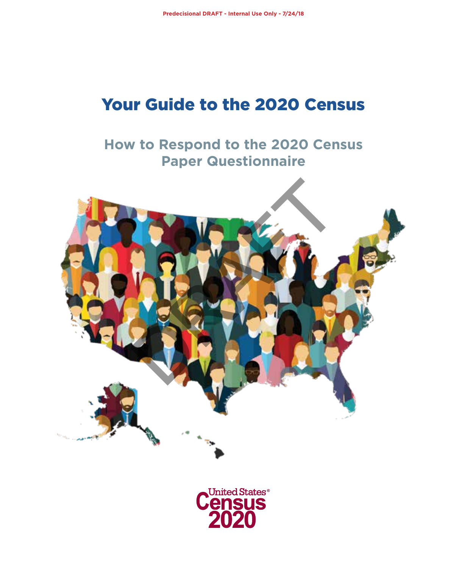## Your Guide to the 2020 Census

## **How to Respond to the 2020 Census Paper Questionnaire**



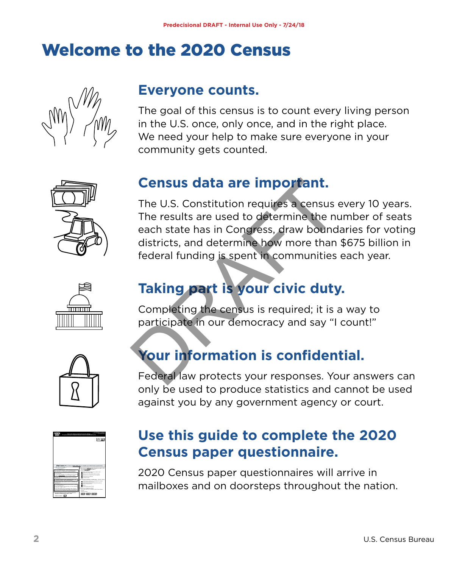# Welcome to the 2020 Census



## **Everyone counts.**

The goal of this census is to count every living person in the U.S. once, only once, and in the right place. We need your help to make sure everyone in your community gets counted.



## **Census data are important.**

The U.S. Constitution requires a census every 10 years. The results are used to determine the number of seats each state has in Congress, draw boundaries for voting districts, and determine how more than \$675 billion in federal funding is spent in communities each year. **Census data are important.**<br>The U.S. Constitution requires a census<br>The results are used to determine the nu<br>each state has in Congress, draw bound<br>districts, and determine how more than<br>federal funding is spent in commun



## **Taking part is your civic duty.**

Completing the census is required; it is a way to participate in our democracy and say "I count!"



## **Your information is confidential.**

Federal law protects your responses. Your answers can only be used to produce statistics and cannot be used against you by any government agency or court.



## **Use this guide to complete the 2020 Census paper questionnaire.**

2020 Census paper questionnaires will arrive in mailboxes and on doorsteps throughout the nation.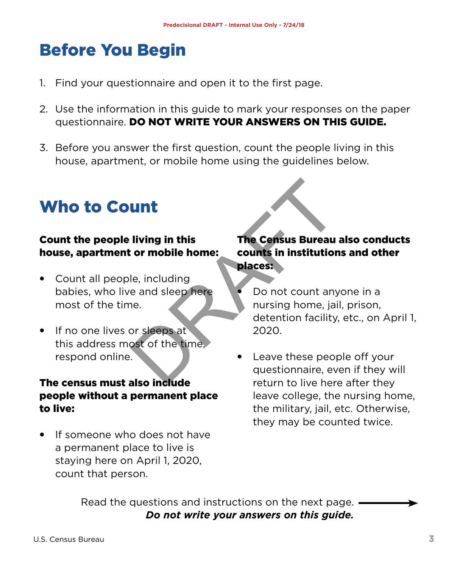# Before You Begin

- 1. Find your questionnaire and open it to the first page.
- 2. Use the information in this guide to mark your responses on the paper questionnaire. DO NOT WRITE YOUR ANSWERS ON THIS GUIDE.
- 3. Before you answer the first question, count the people living in this house, apartment, or mobile home using the guidelines below.

# Who to Count

#### Count the people living in this house, apartment or mobile home:

- Count all people, including babies, who live and sleep here most of the time.
- If no one lives or sleeps at this address most of the time, respond online.

#### The census must also include people without a permanent place to live:

• If someone who does not have a permanent place to live is staying here on April 1, 2020, count that person.

#### The Census Bureau also conducts counts in institutions and other places:

- Do not count anyone in a nursing home, jail, prison, detention facility, etc., on April 1, 2020. Univing in this<br>
the Census Bureau<br>
Cor mobile home:<br>
The Census Bureau<br>
counts in institution<br>
le, including<br>
e and sleep here<br>
Do not count any<br>
nursing home, jai<br>
detention facility<br>
or sleeps at<br>
2020.<br>
St of the time,
	- Leave these people off your questionnaire, even if they will return to live here after they leave college, the nursing home, the military, jail, etc. Otherwise, they may be counted twice.

Read the questions and instructions on the next page. *Do not write your answers on this guide.*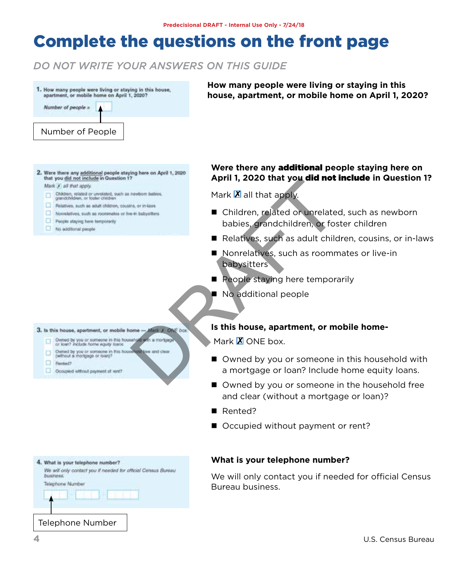## Complete the questions on the front page

#### *DO NOT WRITE YOUR ANSWERS ON THIS GUIDE*



**How many people were living or staying in this house, apartment, or mobile home on April 1, 2020?** 

- Mark X all that apply.
	-
	-
	-
	- Poople staying here temporarily
	- No additional people

#### **Were there any** additional **people staying here on April 1, 2020 that you** did not include **in Question 1?**

Mark  $\mathbb{Z}$  all that apply.

- Children, related or unrelated, such as newborn babies, grandchildren, or foster children April 1, 2020 that you did not<br>
Mark IX all that apply.<br>
Children, related or unrelate<br>
babies, grandchildren, or fos<br>
Relatives, such as adult child<br>
Nonrelatives, such as roomm<br>
babysitters<br>
Repole staying here temporal<br>
	- Relatives, such as adult children, cousins, or in-laws
	- Nonrelatives, such as roommates or live-in babysitters
	- People staying here temporarily
	- No additional people

#### **Is this house, apartment, or mobile home-**

Mark  $\mathbf X$  ONF box.

- Owned by you or someone in this household with a mortgage or loan? Include home equity loans.
- Owned by you or someone in the household free and clear (without a mortgage or loan)?
- Rented?

roau

■ Occupied without payment or rent?

#### **What is your telephone number?**

We will only contact you if needed for official Census Bureau business.

- 
- 
- $P$  Rented?
- Occupied without payment of rent?

| What is your telephone number?<br><b>DUS/NOSS</b> | We will only contact you if needed for official Census B |  |  |  |
|---------------------------------------------------|----------------------------------------------------------|--|--|--|
|                                                   |                                                          |  |  |  |
| Telephone Number                                  |                                                          |  |  |  |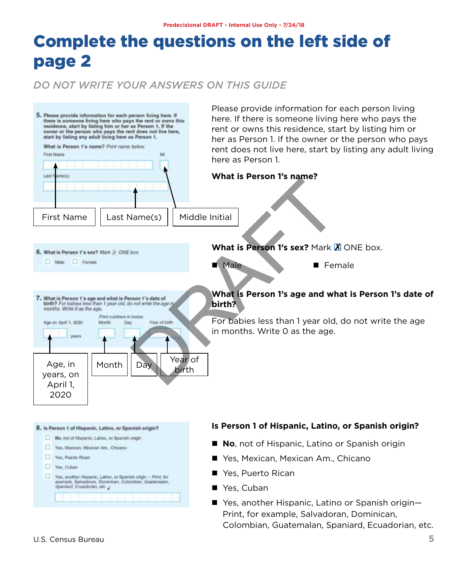# Complete the questions on the left side of page 2

#### *DO NOT WRITE YOUR ANSWERS ON THIS GUIDE*

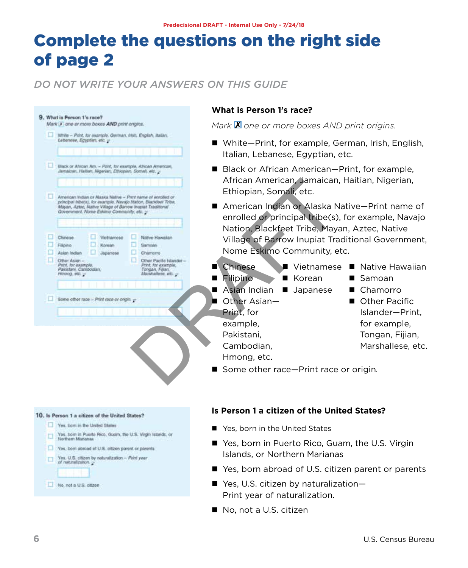# Complete the questions on the right side of page 2

#### *DO NOT WRITE YOUR ANSWERS ON THIS GUIDE*

|                                                                            |                                                                                                                                                                                                                                                                                                                                                                                                                                                                                                                                                                                         |                                                      | What is Person 1's race?                                                                                                                                                                                                                                                                                                                                                                                                                                                                                                   |                                                                                                                                       |
|----------------------------------------------------------------------------|-----------------------------------------------------------------------------------------------------------------------------------------------------------------------------------------------------------------------------------------------------------------------------------------------------------------------------------------------------------------------------------------------------------------------------------------------------------------------------------------------------------------------------------------------------------------------------------------|------------------------------------------------------|----------------------------------------------------------------------------------------------------------------------------------------------------------------------------------------------------------------------------------------------------------------------------------------------------------------------------------------------------------------------------------------------------------------------------------------------------------------------------------------------------------------------------|---------------------------------------------------------------------------------------------------------------------------------------|
| 9. What is Person 1's race?<br>Mark X one or more boxes AND print origins. |                                                                                                                                                                                                                                                                                                                                                                                                                                                                                                                                                                                         |                                                      | Mark <b>X</b> one or more boxes AND print origins.<br>■ White-Print, for example, German, Irish, English,<br>Italian, Lebanese, Egyptian, etc.<br>Black or African American–Print, for example,<br>African American, Jamaican, Haitian, Nigerian,<br>Ethiopian, Somali, etc.<br>American Indian or Alaska Native-Print name of<br>enrolled or principal tribe(s), for example, Navajo<br>Nation, Blackfeet Tribe, Mayan, Aztec, Native<br>Village of Barrow Inupiat Traditional Government,<br>Nome Eskimo Community, etc. |                                                                                                                                       |
|                                                                            | White - Print, for example, German, Irtsh, English, Italian,<br>Lebanese, Egyptian, etc. -<br>Black or African Am. - Print, for example, African American,<br>Jamaican, Halban, Nigerian, Ethiopian, Somali, etc., -<br>American Indian or Alaska Native - Prest name of introded or<br>principal tribe(s), for example, Navajo Nation, Blackfeet Tribe,<br>Mayan, Aztec, Native Village of Barrow Inspiat Traditional<br>Government, Nome Eskimo Community, etc. ><br>Chinese<br>Vietnamese<br>Native Hawaiian<br>Filipino<br>Konsen<br>Samoan<br>Asian Indian<br>Japanese<br>Chamorro |                                                      |                                                                                                                                                                                                                                                                                                                                                                                                                                                                                                                            |                                                                                                                                       |
| o                                                                          |                                                                                                                                                                                                                                                                                                                                                                                                                                                                                                                                                                                         |                                                      |                                                                                                                                                                                                                                                                                                                                                                                                                                                                                                                            |                                                                                                                                       |
|                                                                            | Other Asian -<br>Other Pacific Islander<br>Print, for example<br>Print, for example,<br>Pakistani, Cambodian,<br>Tongan, Filian,<br>Manahalleen, etc.<br>Hotorag, etc.<br>Bome other race > Print race or origin.                                                                                                                                                                                                                                                                                                                                                                       |                                                      | Chinese<br>Vietnamese<br>Filipino<br>Korean<br>■<br>Asian Indian<br>■ Japanese<br>Other Asian-<br>Print, for<br>example,<br>Pakistani,<br>Cambodian.<br>Hmong, etc.                                                                                                                                                                                                                                                                                                                                                        | ■ Native Hawaiian<br>■ Samoan<br>Chamorro<br>Other Pacific<br>Islander-Print.<br>for example,<br>Tongan, Fijian,<br>Marshallese, etc. |
|                                                                            | 10. Is Person 1 a citizen of the United States?                                                                                                                                                                                                                                                                                                                                                                                                                                                                                                                                         |                                                      | Some other race-Print race or origin.<br>Is Person 1 a citizen of the United States?                                                                                                                                                                                                                                                                                                                                                                                                                                       |                                                                                                                                       |
|                                                                            | Yes, born in the United States<br>Yes, tiom in Puerto Rico, Guam, the U.S. Virgin Islands, or<br>Northern Marianas<br>Ves, born abroad of U.S. citizen parent or parents<br>Yes, U.S. citizen by naturalization - Print year                                                                                                                                                                                                                                                                                                                                                            |                                                      | Yes, born in the United States                                                                                                                                                                                                                                                                                                                                                                                                                                                                                             |                                                                                                                                       |
|                                                                            |                                                                                                                                                                                                                                                                                                                                                                                                                                                                                                                                                                                         |                                                      | ■ Yes, born in Puerto Rico, Guam, the U.S. Virgin<br>Islands, or Northern Marianas                                                                                                                                                                                                                                                                                                                                                                                                                                         |                                                                                                                                       |
|                                                                            | of naturalization.                                                                                                                                                                                                                                                                                                                                                                                                                                                                                                                                                                      | ■ Yes, born abroad of U.S. citizen parent or parents |                                                                                                                                                                                                                                                                                                                                                                                                                                                                                                                            |                                                                                                                                       |
|                                                                            | ■ Yes, U.S. citizen by naturalization-<br>Mo, not a U.S. citizen<br>Print year of naturalization.                                                                                                                                                                                                                                                                                                                                                                                                                                                                                       |                                                      |                                                                                                                                                                                                                                                                                                                                                                                                                                                                                                                            |                                                                                                                                       |

■ No, not a U.S. citizen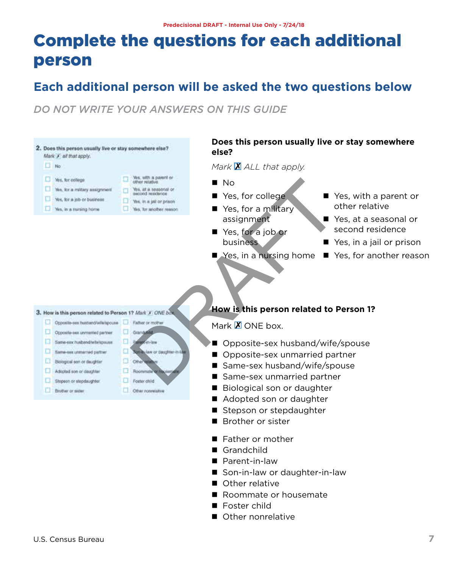# Complete the questions for each additional person

### **Each additional person will be asked the two questions below**

*DO NOT WRITE YOUR ANSWERS ON THIS GUIDE*